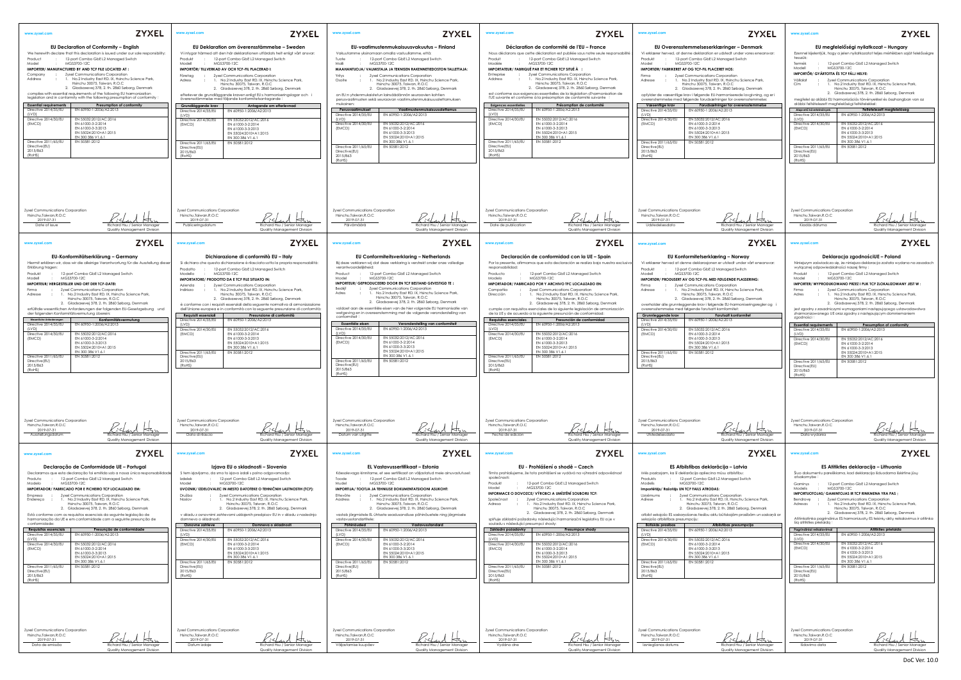<span id="page-0-5"></span><span id="page-0-4"></span><span id="page-0-3"></span><span id="page-0-2"></span><span id="page-0-1"></span><span id="page-0-0"></span>

| <b>ZYXEL</b><br>www.zyxel.com<br><b>EU Declaration of Conformity - English</b><br>We herewith declare that this declaration is issued under our sole responsibility:<br>12-port Combo GbE L2 Managed Switch<br>Product<br>Model<br>MGS3700-12C<br>IMPORTER/ MANUFACTURED BY AND TCF FILE LOCATED AT :<br>: Zyxel Communications Corporation<br>Company<br>1. No.2 Industry East RD. IX, Hsinchu Science Park,<br>Address<br>Hsinchu 30075, Taiwan, R.O.C<br>2. Gladsaxevej 378, 2. th. 2860 Søborg, Denmark<br>complies with essential requirements of the following EU harmonization<br>legislation and in conformity with the following presumption of conformity<br>Presumption of conformity<br><b>Essential requirements</b><br>Directive 2014/35/EU<br>EN 60950-1:2006/A2:2013<br>(IVD)<br>Directive 2014/30/EU<br>EN 55032:2012/AC:2016<br>(EMCD)<br>EN 61000-3-2:2014<br>EN 61000-3-3:2013<br>EN 55024:2010+A1:2015<br>EN 300 386 V1.6.1<br>EN 50581:2012<br>Directive 2011/65/EU<br>Directive(EU)<br>2015/863<br>(RoHS)                                                                                                                                                     | <b>ZYXEL</b><br>www.zyxel.com<br>EU Deklaration om överensstämmelse – Sweden<br>Vi intygar härmed att den här deklarationen utfärdats helt enligt vårt ansvar:<br>12-port Combo GbE L2 Managed Switch<br>Produkt<br>Modell<br>MGS3700-12C<br>IMPORTÖR/TILLVERKAD AV OCH TCF-FIL PLACERAD I:<br>: Zyxel Communications Corporation<br>Företaa<br>1. No.2 Industry East RD, IX, Hsinchu Science Park.<br>Adress<br>Hsinchu 30075, Taiwan, R.O.C<br>2. Gladsaxevej 378, 2. th. 2860 Søborg, Denmark<br>efterlever de grundläggande kraven enligt EU:s harmoniseringslagar och i<br>överensstämmelse med följande konformitetsantagande :<br>Grundläggande krav<br>Antagande om efterlevnad<br>Directive 2014/35/EU<br>EN 60950-1:2006/A2:2013<br>(LVD)<br>Directive 2014/30/EU<br>EN 55032:2012/AC:2016<br>EN 61000-3-2:2014<br>(EMCD)<br>EN 61000-3-3:2013<br>EN 55024:2010+A1:2015<br>EN 300 386 V1.6.1<br>EN 50581:2012<br>Directive 2011/65/EU<br>Directive (EU)<br>2015/863<br>(RoHS)                                                                                                                    | <b>ZYXEL</b><br>www.zyxel.com<br>EU-vaatimustenmukaisuusvakuutus – Finland<br>Vakuutamme yksinomaan omalla vastuullamme, että:<br>Tuote<br>12-port Combo GbE L2 Managed Switch<br>Malli<br>MGS3700-12C<br>MAAHANTUOJA/ VALMISTAJA JA TEKNISEN RAKENNETIEDOSTON TALLETTAJA:<br>: Zyxel Communications Corporation<br>Yritys<br>1. No.2 Industry East RD, IX, Hsinchu Science Park,<br>Osoite<br>Hsinchu 30075, Taiwan, R.O.C<br>2. Gladsaxevej 378, 2. th. 2860 Søborg, Denmark<br>on EU:n yhdenmukaistetun lainsäädännön seuraavien kohtien<br>perusvaatimusten sekä seuraavan vaatimustenmukaisuusolettamuksen<br>mukainen:<br>Perusvaatimukset<br>Vaatimustenmukaisuusolettamus<br>Directive 2014/35/EU<br>EN 60950-1:2006/A2:2013<br>(LVD)<br>Directive 2014/30/EU<br>EN 55032:2012/AC:2016<br>EN 61000-3-2:2014<br>(EMCD)<br>EN 61000-3-3:2013<br>EN 55024:2010+A1:2015<br>EN 300 386 V1.6.1<br>EN 50581:2012<br>Directive 2011/65/EU<br>Directive(EU)<br>2015/863<br>(RoHS)                                                                                                          | <b>ZYXEL</b><br>www.zyxel.com<br>Déclaration de conformité de l'EU - France<br>Nous déclarons que cette déclaration est publiée sous notre seule responsabilité<br>Produit<br>12-port Combo GbE L2 Managed Switch<br>Modèle<br>MGS3700-12C<br>IMPORTATEUR/FABRIQUÉ PAR ET FICHIER TCF SITUÉ À :<br>Entreprise<br>: Zyxel Communications Corporation<br>1. No.2 Industry East RD. IX, Hsinchu Science Park,<br>Address<br>Hsinchu 30075, Taiwan, R.O.C<br>2. Gladsaxevej 378, 2. th. 2860 Søborg, Denmark<br>est conforme aux exigences essentielles de la législation d'harmonisation de<br>l'UE suivante et conforme à la présomption de conformité suivante<br>Présomption de conformité<br><b>Exigences essentielles</b><br>EN 60950-1:2006/A2:2013<br>Directive 2014/35/EU<br>(IVD)<br>Directive 2014/30/EU<br>EN 55032:2012/AC:2016<br>EN 61000-3-2:2014<br>(EMCD)<br>EN 61000-3-3:2013<br>EN 55024:2010+A1:2015<br>EN 300 386 V1.6.1<br>EN 50581:2012<br>Directive 2011/65/EU<br>Directive(EU)<br>2015/863<br>(RoHS)                                                                                    | <b>ZYXEL</b><br>www.zyxel.com<br>www.zyxel.com<br>EU Overensstemmelseserklæringer – Denmark<br>Vi erklærer herved, at denne deklaration er udstedt under vores eneansvar:<br>Ezennel kijele<br>tesszük:<br>12-port Combo GbE L2 Managed Switch<br>Produkt<br>Termék<br>Model<br>MGS3700-12C<br>Modell<br>IMPORTØR/ FABRIKERET AF OG TCF-FIL PLACERET HOS:<br>IMPORTŐR/G<br>Zyxel Communications Corporation<br>$\sim 10^{-11}$<br>Firma<br>No.2 Industry East RD, IX, Hsinchu Science Park,<br>Vállalat<br>Adresse<br>Hsinchu 30075, Taiwan, R.O.C<br>Cím<br>2. Gladsaxevej 378, 2. th. 2860 Søborg, Denmark<br>opfylder de væsentlige krav i følgende EU-harmoniserede lovgivning, og er i<br>overenstemmelse med følgende forudsætninger for overensstemmelse:<br>megfelel az a<br>alábbi feltéte<br>Forudsætninger for overensstemmelse<br>Væsentlige krav<br>Alapvető követe<br>Directive 2014/35/EU<br>EN 60950-1:2006/A2:2013<br>(LVD)<br>Directive 2014<br>EN 55032:2012/AC:2016<br>(LVD)<br>Directive 2014/30/EU<br>(EMCD)<br>EN 61000-3-2:2014<br>Directive 2014<br>EN 61000-3-3:2013<br>(EMCD)<br>EN 55024:2010+A1:2015<br>EN 300 386 V1.6.1<br>EN 50581:2012<br>Directive 2011/65/EU<br>Directive(EU)<br>Directive 201<br>2015/863<br>Directive(EU)<br>(RoHS)<br>2015/863<br>(ROHS)                                                                                                                 |
|--------------------------------------------------------------------------------------------------------------------------------------------------------------------------------------------------------------------------------------------------------------------------------------------------------------------------------------------------------------------------------------------------------------------------------------------------------------------------------------------------------------------------------------------------------------------------------------------------------------------------------------------------------------------------------------------------------------------------------------------------------------------------------------------------------------------------------------------------------------------------------------------------------------------------------------------------------------------------------------------------------------------------------------------------------------------------------------------------------------------------------------------------------------------------------------|------------------------------------------------------------------------------------------------------------------------------------------------------------------------------------------------------------------------------------------------------------------------------------------------------------------------------------------------------------------------------------------------------------------------------------------------------------------------------------------------------------------------------------------------------------------------------------------------------------------------------------------------------------------------------------------------------------------------------------------------------------------------------------------------------------------------------------------------------------------------------------------------------------------------------------------------------------------------------------------------------------------------------------------------------------------------------------------------------------|-------------------------------------------------------------------------------------------------------------------------------------------------------------------------------------------------------------------------------------------------------------------------------------------------------------------------------------------------------------------------------------------------------------------------------------------------------------------------------------------------------------------------------------------------------------------------------------------------------------------------------------------------------------------------------------------------------------------------------------------------------------------------------------------------------------------------------------------------------------------------------------------------------------------------------------------------------------------------------------------------------------------------------------------------------------------------------------------|---------------------------------------------------------------------------------------------------------------------------------------------------------------------------------------------------------------------------------------------------------------------------------------------------------------------------------------------------------------------------------------------------------------------------------------------------------------------------------------------------------------------------------------------------------------------------------------------------------------------------------------------------------------------------------------------------------------------------------------------------------------------------------------------------------------------------------------------------------------------------------------------------------------------------------------------------------------------------------------------------------------------------------------------------------------------------------------------------------------|----------------------------------------------------------------------------------------------------------------------------------------------------------------------------------------------------------------------------------------------------------------------------------------------------------------------------------------------------------------------------------------------------------------------------------------------------------------------------------------------------------------------------------------------------------------------------------------------------------------------------------------------------------------------------------------------------------------------------------------------------------------------------------------------------------------------------------------------------------------------------------------------------------------------------------------------------------------------------------------------------------------------------------------------------------------------------------------------------------------------------------------------------------------------------------------------------------------------------------------------------------------------------------------------------------------------------------------------------------------------------------------------------------------|
| Zyxel Communications Corporation<br>Hsinchu, Taiwan, R.O.C<br>2019-07-31<br>Date of issue<br>Richard Hsu / Senior Manager<br>Quality Management Division                                                                                                                                                                                                                                                                                                                                                                                                                                                                                                                                                                                                                                                                                                                                                                                                                                                                                                                                                                                                                             | Zyxel Communications Corporation<br>Hsinchu, Taiwan, R.O.C<br>2019-07-31<br>Publicerinasdatum<br>Richard Hsu / Senior Manager<br>Quality Management Division                                                                                                                                                                                                                                                                                                                                                                                                                                                                                                                                                                                                                                                                                                                                                                                                                                                                                                                                               | Zyxel Communications Corporation<br>Hsinchu,Taiwan,R.O.C<br>2019-07-31<br>Päivämäärä<br>Richard Hsu / Senior Manager<br>Quality Management Division                                                                                                                                                                                                                                                                                                                                                                                                                                                                                                                                                                                                                                                                                                                                                                                                                                                                                                                                       | Zyxel Communications Corporation<br>Hsinchu, Taiwan, R.O.C<br>2019-07-31<br>Date de publication<br>Richard Hsu / Senior Manager<br>Quality Management Division                                                                                                                                                                                                                                                                                                                                                                                                                                                                                                                                                                                                                                                                                                                                                                                                                                                                                                                                                | Zyxel Communications Corporation<br>Zyxel Communi<br>Hsinchu, Taiwan, R.O.C<br>Hsinchu, Taiwo<br>2019-07-31<br>2019-07<br>Udstedelsesdato<br>Richard Hsu / Senior Manager<br>Kiadás dá<br>Quality Management Division                                                                                                                                                                                                                                                                                                                                                                                                                                                                                                                                                                                                                                                                                                                                                                                                                                                                                                                                                                                                                                                                                                                                                                                          |
| <b>ZYXEL</b><br>www.zyxel.com<br>EU-Konformitätserklärung – Germany<br>Hiermit erklären wir, dass wir die alleinige Verantwortung für die Ausstellung diese<br>Erklärung tragen:<br>12-port Combo GbE L2 Managed Switch<br>Produkt<br>MGS3700-12C<br>Modell<br>IMPORTEUR/ HERGESTELLER UND ORT DER TCF-DATEI:<br>: Zyxel Communications Corporation<br>Firma<br>: 1. No.2 Industry East RD. IX, Hsinchu Science Park,<br>Adresse<br>Hsinchu 30075, Taiwan, R.O.C<br>2. Gladsaxevej 378, 2. th. 2860 Søborg, Denmark<br>erfülltdie wesentlichen Anforderungen der folgenden EU-Gesetzgebung und<br>der folgenden Konformitätsvermutung überein:<br>Wesenfliche Anforderungen<br>Konformitätsvermutung<br>EN 60950-1:2006/A2:2013<br>Directive 2014/35/EU<br>(LVD)<br>Directive 2014/30/EU<br>EN 55032:2012/AC:2016<br>(EMCD)<br>EN 61000-3-2:2014<br>EN 61000-3-3:2013<br>EN 55024:2010+A1:2015<br>EN 300 386 V1.6.1<br>Directive 2011/65/EU<br>EN 50581:2012<br>Directive(EU)<br>2015/863<br>(RoHS)                                                                                                                                                                                  | <b>ZYXEL</b><br>www.zyxel.com<br>Dichiarazione di conformità EU - Italy<br>Si dichiara che questa dichiarazione è rilasciata sotto la propria responsabilità:<br>12-port Combo GbE L2 Managed Switch<br>Prodotto<br>MGS3700-12C<br>Modello<br>IMPORTATORE/ PRODOTTO DA E TCF FILE SITUATO IN:<br>Zyxel Communications Corporation<br>Azienda<br>1. No.2 Industry East RD. IX, Hsinchu Science Park,<br>Indirizzo<br>Hsinchu 30075, Taiwan, R.O.C<br>2. Gladsaxevej 378, 2. th. 2860 Søborg, Denmark<br>è conforme con i requisiti essenziali della seguente normativa di armonizzazione<br>dell'Unione europea e in conformità con la seguente presunzione di conformità:<br>Presunzione di conformità<br>Requisiti essenziali<br>Directive 2014/35/EU<br>EN 60950-1:2006/A2:2013<br>(LVD)<br>EN 55032:2012/AC:2016<br>Directive 2014/30/EU<br>EN 61000-3-2:2014<br>(EMCD)<br>EN 61000-3-3:2013<br>EN 55024:2010+A1:2015<br>FN 300 386 V1.6.1<br>Directive 2011/65/EU<br>EN 50581:2012<br>Directive (EU)<br>2015/863<br>(RoHS)                                                                             | <b>ZYXEL</b><br>www.zyxel.com<br>EU Conformiteitsverklaring - Netherlands<br>Bij deze verklaren wij dat deze verklaring is verstrekt onder onze volledige<br>verantwoordelijkheid:<br>: 12-port Combo GbE L2 Managed Switch<br>Product<br>MGS3700-12C<br>Model<br>IMPORTEUR/ GEPRODUCEERD DOOR EN TCF BESTAND GEVESTIGD TE:<br>Zyxel Communications Corporation<br>Bedriif<br>1. No.2 Industry East RD. IX, Hsinchu Science Park,<br>Adres<br>Hsinchu 30075, Taiwan, R.O.C.<br>2. Gladsaxevej 378, 2. th. 2860 Søborg, Denmark<br>voldoet aan de essentiële eisen van de hier volgende EU harmonisatie van<br>wetgeving en in overeenstemming met de volgende veronderstelling van<br>conformiteit<br>Essentiële eisen<br>Veronderstelling van conformiteit<br>Directive 2014/35/EU<br>EN 60950-1:2006/A2:2013<br>(LVD)<br>Directive 2014/30/EU<br>EN 55032:2012/AC:2016<br>EN 61000-3-2:2014<br>(EMCD)<br>EN 61000-3-3:2013<br>EN 55024:2010+A1:2015<br>EN 300 386 V1.6.1<br>Directive 2011/65/EU<br>EN 50581:2012<br>Directive(EU)<br>2015/863<br>(RoHS)                                | <b>ZYXEL</b><br>www.zyxel.com<br>Declaración de conformidad con la UE - Spain<br>Por la presente, afirmamos que esta declaración se realiza bajo nuestra exclusiva<br>responsabilidad:<br>Producto<br>12-port Combo GbE L2 Managed Switch<br>MGS3700-12C<br>Modelo<br>IMPORTADOR/ FABRICADO POR Y ARCHIVO TFC LOCALIZADO EN:<br>Zyxel Communications Corporation<br>Compañía<br>$\sim$ 100 $\sim$<br>1. No.2 Industry East RD. IX, Hsinchu Science Park,<br>Dirección<br>$\sim$ 100 $\sim$<br>Hsinchu 30075, Taiwan, R.O.C<br>2. Gladsaxevej 378, 2. th. 2860 Søborg, Denmark<br>cumple con requisitos esenciales de la siguiente legislación de armonización<br>de la UE y de acuerdo a la siguiente presunción de conformidad:<br><b>Requisitos esenciales</b><br>Presunción de conformidad<br>EN 60950-1:2006/A2:2013<br>Directive 2014/35/EU<br>(LVD)<br>Directive 2014/30/EU<br>EN 55032:2012/AC:2016<br>EN 61000-3-2:2014<br>(EMCD)<br>EN 61000-3-3:2013<br>EN 55024:2010+A1:2015<br>EN 300 386 V1.6.1<br>Directive 2011/65/EU<br>EN 50581:2012<br>Directive(EU)<br>2015/863<br>(ROHS)                  | <b>ZYXEL</b><br>www.zyxel.com<br>www.zyxel.com<br>EU Konformitetserklæring - Norway<br>Vi erklærer herved at denne deklarasjonen er utstedt under vårt eneansvar:<br>Niniejszym za:<br>wyłącznej od<br>12-port Combo GbE L2 Managed Switch<br>Produkt<br>MGS3700-12C<br>Modell<br>Produkt<br>Model<br>IMPORTØR/ PRODUSERT AV OG TCF-FIL MED FØLGENDE PLASSERING:<br><b>IMPORTER/WY</b><br>: Zyxel Communications Corporation<br>Firma<br>: 1. No.2 Industry East RD. IX, Hsinchu Science Park,<br>Firma<br>Adresse<br>Hsinchu 30075, Taiwan, R.O.C<br>Adres<br>2. Gladsaxevej 378, 2. th. 2860 Søborg, Denmark<br>overholder alle grunnleggende krav i følgende EU-harmoniseringsregler og i<br>overensstemmelse med følgende forutsatt komformitet:<br>jest zgodny z<br>zharmonizow<br>Grunnleggende krav<br>Forutsatt konformitet<br>zgodności :<br>Directive 2014/35/EU<br>EN 60950-1:2006/A2:2013<br>(LVD)<br><b>Essential requi</b><br>EN 55032:2012/AC:2016<br>Directive 2014/30/EU<br>Directive 2014<br>EN 61000-3-2:2014<br>(EMCD)<br>(LVD)<br>EN 61000-3-3:2013<br>Directive 2014<br>EN 55024:2010+A1:2015<br>(EMCD)<br>EN 300 386 V1.6.1<br>EN 50581:2012<br>Directive 2011/65/EU<br>Directive (EU)<br>2015/863<br>Directive 201<br>(RoHS)<br>Directive(EU)<br>2015/863<br>(RoHS)                                                                                                                    |
| Zyxel Communications Corporation<br>Hsinchu, Taiwan, R.O.C<br>2019-07-31<br>Ausstellungsdatum<br>ichard Hsu / Senior Manager<br>Quality Management Division<br><b>ZYXEL</b><br>www.zyxel.com<br>Declaração de Conformidade UE - Portugal<br>Declaramos que esta declaração foi emitida sob a nossa única responsabilidad<br>12-port Combo GbE L2 Managed Switch<br>Produto<br>MGS3700-12C<br>Modelo<br>IMPORTADOR/ FABRICADO POR E FICHEIRO TCF LOCALIZADO EM:<br>Zyxel Communications Corporation<br>Empresa<br>$\sim$ 1.00<br>Endereco : 1. No.2 Industry East RD. IX, Hsinchu Science Park,<br>Hsinchu 30075, Taiwan, R.O.C<br>2. Gladsaxevej 378, 2. th. 2860 Søborg, Denmark<br>Está conforme com os requisitos essenciais da seguinte legislação de<br>harmonização da UE e em conformidade com a seguinte presunção de<br>conformidade:<br>Presunção de conformidade<br><b>Requisitos essenciais</b><br>EN 60950-1:2006/A2:2013<br>Directive 2014/35/EU<br>(LVD)<br>Directive 2014/30/EU<br>EN 55032:2012/AC:2016<br>(EMCD)<br>EN 61000-3-2:2014<br>EN 61000-3-3:2013<br>EN 55024:2010+A1:2015<br>EN 300 386 V1.6.1<br>EN 50581:2012<br>Directive 2011/65/EU<br>Directive(EU) | Zyxel Communications Corporation<br>Hsinchu, Taiwan, R.O.C<br>2019-07-31<br>ЮJ.<br>Data di rilascio<br>Richard Hsu / Senior Manager<br>Quality Management Division<br><b>ZYXEL</b><br>www.zyxel.com<br>Izjava EU o skladnosti – Slovenia<br>S tem izjavljamo, da smo to izjavo izdali s polno odgovornostjo:<br>12-port Combo GbEL2 Managed Switch<br>Izdelek<br>Model<br>MGS3700-12C<br>UVOZNIK/ IZDELOVALEC IN MESTO DATOTEKE O TEHNIČNIH LASTNOSTIH (TCF):<br>Zyxel Communications Corporation<br>Družba<br>1. No.2 Industry East RD. IX, Hsinchu Science Park,<br>Naslov<br>Hsinchu 30075, Taiwan, R.O.C<br>2. Gladsaxevej 378, 2. th. 2860 Søborg, Denmark<br>v skladu z osnovnimi zahtevami usklajenih predpisov EU in v skladu z naslednjo<br>domnevo o skladnosti<br>Domneva o skladnosti<br>Osnovne zahteve<br>Directive 2014/35/EU<br>EN 60950-1:2006/A2:2013<br>(LVD)<br>Directive 2014/30/EU<br>EN 55032:2012/AC:2016<br>(EMCD)<br>EN 61000-3-2:2014<br>EN 61000-3-3:2013<br>EN 55024:2010+A1:2015<br>EN 300 386 V1.6.1<br>EN 50581:2012<br>Directive 2011/65/EU<br>Directive (EU)<br>2015/863 | Zyxel Communications Corporation<br>Hsinchu, Taiwan, R.O.C<br>2019-07-31<br>Datum van uitgifte<br>Richard Hsu / Senior Manager<br>Quality Management Division<br><b>ZYXEL</b><br>www.zyxel.com<br>EL Vastavussertifikaat - Estonia<br>Käesolevaga kinnitame, et see sertifikaat on väljastatud meie ainuvastutusel:<br>12-port Combo GbE L2 Managed Switch<br>Toode<br>MGS3700-12C<br>Mudel<br>IMPORTIJA/ TOOTJA JA TEHNILISE DOKUMENTATSIOONI ASUKOHT:<br>Ettevõte<br>Zyxel Communications Corporation<br>1. No.2 Industry East RD. IX, Hsinchu Science Park,<br>Aadress<br>Hsinchu 30075, Taiwan, R.O.C<br>2. Gladsaxevej 378, 2. th. 2860 Søborg, Denmark<br>vastab järgmistele EL ühtsete seadusandluse põhinõuetele ning järgmisele<br>vastavusstandartitele:<br>Põhinõuded<br>Vastavusstandard<br>Directive 2014/35/EU<br>EN 60950-1:2006/A2:2013<br>(IVD)<br>Directive 2014/30/EU<br>EN 55032:2012/AC:2016<br>(EMCD)<br>EN 61000-3-2:2014<br>EN 61000-3-3:2013<br>EN 55024:2010+A1:2015<br>EN 300 386 V1.6.1<br>EN 50581:2012<br>Directive 2011/65/EU<br>Directive(EU)<br>2015/863 | Zyxel Communications Corporation<br>Hsinchu, Taiwan, R.O.C<br>2019-07-31<br>Fecha de edición<br>Richard Hsu / Senior Manager<br>Quality Management Division<br><b>ZYXEL</b><br>www.zyxel.com<br>EU - Prohlášení o shodě – Czech<br>Tímto prohlašujeme, že toto prohlášení se vydává na výhradní odpovědnost<br>společnosti:<br>12-port Combo GbE L2 Managed Switch<br>Produkt<br>MGS3700-12C<br>Model<br>INFORMACE O DOVOZCE/ VÝROBCI A UMÍSTĚNÍ SOUBORU TCF:<br>Společnost : Zyxel Communications Corporation<br>: 1. No.2 Industry East RD. IX, Hsinchu Science Park,<br>Adresa<br>Hsinchu 30075, Taiwan, R.O.C<br>2. Gladsaxevej 378, 2. th. 2860 Søborg, Denmark<br>splňuje základní požadavky následující harmonizační legislativy EU a je v<br>souladu s následující presumpcí shody:<br>Základní požadavky<br>Presumpce shody<br>EN 60950-1:2006/A2:2013<br>Directive 2014/35/EU<br>(LVD)<br>Directive 2014/30/EU<br>EN 55032:2012/AC:2016<br>EN 61000-3-2:2014<br>(EMCD)<br>EN 61000-3-3:2013<br>EN 55024:2010+A1:2015<br>EN 300 386 V1.6.1<br>EN 50581:2012<br>Directive 2011/65/EU<br>Directive(EU) | Zyxel Communications Corporation<br>Zyxel Communi<br>Hsinchu, Taiwan, R.O.C<br>Hsinchu, Taiwo<br>2019-07-31<br>2019-07<br>Data wyd<br>Utstedelsesdato<br>Richard Hsu / Senior Manager<br>Quality Management Division<br><b>ZYXEL</b><br>www.zyxel.com<br>www.zyxel.com<br>ES Atbilstības deklarācija – Latvia<br>Mēs pazinojam, ka šī deklarācija apliecina mūsu atbilstību:<br>Šiuo dokumer<br>atsakomybe<br>12-port Combo GbE L2 Managed Switch<br>Produkts<br>MGS3700-12C<br>Modelis<br>Gaminys<br>Modelis<br>Importētājs/ Ražotājs UN TCF FAILS ATRODAS:<br><b>IMPORTUOTO.</b><br>: Zyxel Communications Corporation<br>Uznēmums<br>1. No.2 Industry East RD. IX, Hsinchu Science Park,<br>Bendrove<br>Adrese<br>Hsinchu 30075, Taiwan, R.O.C<br>Adresas<br>2. Gladsaxevej 378, 2. th. 2860 Søborg, Denmark<br>atbilst sekojošo ES saskaņošanas tiesību aktu būtiskajām prasībām un saskaņā ar<br>Atitinkatinka p<br>sekojošo atbilstības prezumpciju:<br>šią atitikties pi<br>Būtiskās prasības<br>Atbilstības prezumpcija<br>EN 60950-1:2006/A2:2013<br>Directive 2014/35/EU<br>Directive 2014<br>(IVD)<br>(LVD)<br>Directive 2014/30/EU<br>EN 55032:2012/AC:2016<br>EN 61000-3-2:2014<br>Directive 2014<br>(EMCD)<br>EN 61000-3-3:2013<br>(EMCD)<br>EN 55024:2010+A1:2015<br>EN 300 386 V1.6.1<br>EN 50581:2012<br>Directive 2011/65/EU<br>Directive(EU)<br>Directive 2011<br>2015/863<br>Directive(EU) |
| 2015/863<br>(RoHS)<br>Zyxel Communications Corporation<br>Hsinchu, Taiwan, R.O.C<br>2019-07-31<br>Data de emissão<br>ichard Hsu / Senior Manager<br>Quality Management Division                                                                                                                                                                                                                                                                                                                                                                                                                                                                                                                                                                                                                                                                                                                                                                                                                                                                                                                                                                                                      | (RoHS)<br>Zyxel Communications Corporation<br>Hsinchu, Taiwan, R.O.C<br>2019-07-31<br>Datum izdaje<br>Richard Hsu / Senior Manager<br>Quality Management Division                                                                                                                                                                                                                                                                                                                                                                                                                                                                                                                                                                                                                                                                                                                                                                                                                                                                                                                                          | (RoHS)<br>Zyxel Communications Corporation<br>Hsinchu, Taiwan, R.O.C<br>2019-07-31<br>Väljastamise kuupäev<br>Richard Hsu / Senior Manager<br>Quality Management Division                                                                                                                                                                                                                                                                                                                                                                                                                                                                                                                                                                                                                                                                                                                                                                                                                                                                                                                 | 2015/863<br>(RoHS)<br>Zyxel Communications Corporation<br>Hsinchu, Taiwan, R.O.C<br>2019-07-31<br>Vydáno dne<br>Richard Hsu / Senior Manaae<br>Quality Management Division                                                                                                                                                                                                                                                                                                                                                                                                                                                                                                                                                                                                                                                                                                                                                                                                                                                                                                                                    | 2015/863<br>(RoHS)<br>(RoHS)<br>Zyxel Communications Corporation<br>Zyxel Communi<br>Hsinchu, Taiwan, R.O.C<br>Hsinchu, Taiwo<br>2019-07-31<br>2019-07<br>Izsniegšanas datums<br>lšdavimo<br>Richard Hsu / Senior Manager<br>Quality Management Division                                                                                                                                                                                                                                                                                                                                                                                                                                                                                                                                                                                                                                                                                                                                                                                                                                                                                                                                                                                                                                                                                                                                                       |